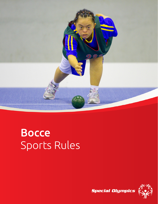

# Bocce Sports Rules

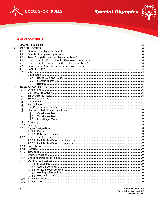



## **TABLE OF CONTENTS**

| 1. |      |        |  |
|----|------|--------|--|
| 2. |      |        |  |
|    | 2.1  |        |  |
|    | 2.2  |        |  |
|    | 2.3  |        |  |
|    | 2.4  |        |  |
|    | 2.5  |        |  |
|    | 2.6  |        |  |
| 3. |      |        |  |
|    | 3.1  |        |  |
|    | 3.2  |        |  |
|    |      | 3.2.1  |  |
|    |      | 3.2.2  |  |
|    |      | 3.2.3  |  |
| 4. |      |        |  |
|    |      |        |  |
|    | 4.1  |        |  |
|    | 4.2  |        |  |
|    | 4.3  |        |  |
|    | 4.4  |        |  |
|    | 4.5  |        |  |
|    | 4.6  |        |  |
|    | 4.7  |        |  |
|    | 4.8  |        |  |
|    |      | 4.8.1  |  |
|    |      | 4.8.2  |  |
|    |      | 4.8.3  |  |
|    | 4.9  |        |  |
|    | 4.10 |        |  |
|    | 4.11 |        |  |
|    |      |        |  |
|    |      |        |  |
|    | 4.12 |        |  |
|    |      |        |  |
|    |      |        |  |
|    | 4.13 |        |  |
|    | 4.14 |        |  |
|    | 4.15 |        |  |
|    | 4.16 |        |  |
|    | 4.17 |        |  |
|    | 4.18 |        |  |
|    |      | 4.18.1 |  |
|    |      |        |  |
|    |      |        |  |
|    |      |        |  |
|    |      |        |  |
|    | 4.19 |        |  |
|    | 4.20 |        |  |
|    |      |        |  |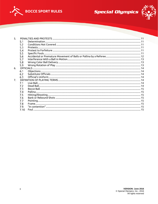



| 5.             |      |  |
|----------------|------|--|
|                | 5.1  |  |
|                | 5.2  |  |
|                | 5.3  |  |
|                | 5.4  |  |
|                | 5.5  |  |
|                | 5.6  |  |
|                | 5.7  |  |
|                | 5.8  |  |
|                | 5.9  |  |
| 6.             |      |  |
|                | 6.1  |  |
|                | 6.2  |  |
|                | 6.3  |  |
| 7 <sub>1</sub> |      |  |
|                | 7.1  |  |
|                | 7.2  |  |
|                | 7.3  |  |
|                | 7.4  |  |
|                | 7.5  |  |
|                | 7.6  |  |
|                | 7.7  |  |
|                | 7.8  |  |
|                | 7.9  |  |
|                | 7.10 |  |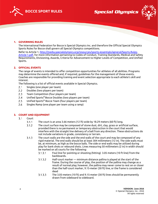





## <span id="page-3-0"></span>**1. GOVERNING RULES**

The International Federation for Bocce is Special Olympics Inc. and therefore the Official Special Olympics Sports Rules for Bocce shall govern all Special Olympics competitions.

Refer to Article 1[, http://media.specialolympics.org/resources/sports-essentials/general/Sports-Rules-](http://media.specialolympics.org/resources/sports-essentials/general/Sports-Rules-Article-1.pdf)[Article-1.pdf,](http://media.specialolympics.org/resources/sports-essentials/general/Sports-Rules-Article-1.pdf) for more information pertaining to Codes of Conduct, Training Standards, Medical and Safety Requirements, Divisioning, Awards, Criteria for Advancement to Higher Levels of Competition, and Unified Sports.

## <span id="page-3-1"></span>**2. OFFICIAL EVENTS**

The range of events is intended to offer competition opportunities for athletes of all abilities. Programs may determine the events offered and, if required, guidelines for the management of those events. Coaches are responsible for providing training and event selection appropriate to each athlete's skill and interest.

The following is a list of official events available in Special Olympics.

- <span id="page-3-2"></span> $2.1$ Singles (one player per team)
- <span id="page-3-3"></span> $2.2$ Doubles (two players per team)
- <span id="page-3-4"></span> $2.3$ Team Competition (four players per team)
- <span id="page-3-5"></span> $2.4$ Unified Sports® Bocce Doubles (two players per team)
- <span id="page-3-6"></span> $2.5$ Unified Sports® Bocce Team (four players per team)
- <span id="page-3-7"></span> $2.6$ Singles Ramp (one player per team using a ramp)

#### <span id="page-3-9"></span><span id="page-3-8"></span>**3. COURT AND EQUIPMENT**

- $3.1$ Court
	- $3.1.1$ The court is an area 3.66 meters (12 ft) wide by 18.29 meters (60 ft) long.
	- $3.1.2$ The court surface may be composed of stone dust, dirt, clay, grass or artificial surface, provided there is no permanent or temporary obstruction in the court that would interfere with the straight line delivery of a ball from any direction. These obstructions do not include variations in grade, consistency or terrain.
	- $3.1.3$ The court walls are the side and the end walls of the court and may be composed of any rigid material. The end walls should be at least 304 millimeters (12 in). The side walls must be, at minimum, as high as the bocce balls. The side or end walls may be utilized during play for bank shots or rebound shots. Lines measuring 50 millimeters (2 in) in width should be marked on all courts for the following:
		- $3.1.3.1$ Foul line for pointing or shooting (hitting) 3.05 meters (10 ft line) from the backboards.
		- $3.1.3.2$ Half-court marker — minimum distance pallina is played at the start of the frame. During the course of play, the position of the pallina may change as a result of normal play; however, the pallina may never come to rest on or closer than the half-court marker, 9.15-meter (30 ft) line, or the frame is considered dead
		- The 3.05-meters (10 ft) and 9.15-meter (30 ft) lines should be permanently  $3.1.3.3$ drawn from sideboard to sideboard.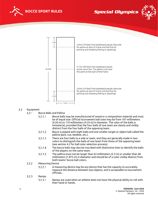





#### <span id="page-4-1"></span><span id="page-4-0"></span> $3.2$ Equipment

- $3.2.1$ Bocce Balls and Pallina
	- $3.2.1.1$ Bocce balls may be manufactured of wood or a composition material and must be of equal size. Official tournament ball sizes may be from 107 millimeters (4.20 in) to 110 millimeters (4.33 in) in diameter. The color of the balls is immaterial, provided that the four balls of one team are clearly and visibly distinct from the four balls of the opposing team.
	- $3.2.1.2$ Bocce is played with eight balls and one smaller target or object ball called the pallina (jack, cue, beebee, etc.).
	- There are four balls to a side or team, and they are generally made in two  $3.2.1.3$ colors to distinguish the balls of one team from those of the opposing team (see section [4.2](#page-5-2) for ball color selection process).
	- $3.2.1.4$ The bocce balls may also be inscribed with distinctive lines to identify the balls of the players on the same team.
	- $3.2.1.5$ The pallina must not be larger than 63 millimeters (2.5 in) or smaller than 48 millimeters (1.875 in) in diameter and should be of a color visibly distinct from both teams' bocce ball colors.

#### <span id="page-4-2"></span> $3.2.2$ Measuring Device

- $3.2.2.1$ A measuring device may be any device that has the capacity to accurately measure the distance between two objects, and is acceptable to tournament officials..
- <span id="page-4-3"></span> $3.2.3$ Ramps  $3.2.3.1$ Ramps are used when an athlete does not have the physical ability to roll with their hand or hands.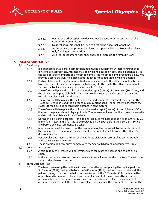





- $3.2.3.2$ Ramps and other assistance devices may be used with the approval of the Competition Committee.
- $3.2.3.3$ No mechanical aids shall be used to propel the bocce ball or pallina.
- 3.2.3.4 Athletes using ramps must be placed in separate divisions from other players only for singles competition.
- 3.2.3.5 All other tournament rules shall apply to athletes in the ramp divisions.

## <span id="page-5-1"></span><span id="page-5-0"></span>**4. RULES OF COMPETITION**

- $4.1$ Divisioning
	- It is suggested that, before competition begins, the Tournament Director ensures that  $4.1.1$ divisions are appropriate. Athletes may be divisioned based on previous experience or, in the case of larger competitions, modified games. The modified game procedure below will provide a score that will help place athletes in the most equitable divisions possible.
	- Each athlete should play three modified games, called a set. The athlete should alternate  $4.1.2$ from each end of the court and play the following allotted balls The athlete should not surpass the foul line when he/she plays the allotted balls:
	- $4.1.3$ The referee will place the pallina at the marked spot (center) of the 9.15-m (30-ft) line, and the player should play eight balls. The referee will measure the closest three balls and record their distance in centimeters.
	- $4.1.4$ The referee will then place the pallina at a marked spot in the center of the court at the 12.20-m (40-ft) mark, and the player should play eight balls. The referee will measure the closest three balls and record their distance in centimeters.
	- $4.1.5$ The referee will then place the pallina at the marked spot (center) of the 15.24-m (50-ft) line, and the player should play eight balls. The referee will measure the closest three balls and record their distance in centimeters.
	- $4.1.6$ During the divisioning process, if the pallina is moved from its spot at 9.15-m (30-ft), 12.20 m (40-ft) or 15.24-m (50-ft), it is to be replaced on the spot before the next ball is rolled and before any measurements are taken.
	- $4.1.7$ Measurements will be taken from the center side of the bocce ball to the center side of the pallina, for a total of nine measurements, the sum of which becomes the athlete's divisioning score.
	- $4.1.8$ For Doubles and Teams, the sum of the athletes divisioning scores shall be the Doubles and Team's divisioning score.
	- 4.1.9 These divisioning procedures comply with the Special Olympics maximum effort rule.
- <span id="page-5-2"></span> $4.2$ Coin Toss Procedure
	- A coin toss by the referee will determine which team has the pallina and choice of ball  $4.2.1$ color.
	- $4.2.2$ In the absence of a referee, the two team captains will execute the coin toss. The coin toss should take place on the court.
- <span id="page-5-3"></span> $4.3$ Three-Attempt Rule
	- $4.3.1$ The team possessing the pallina will have three attempts at placing the pallina past the 9.15-meter (30-ft) mark and before the 3.05-meter (10-ft) mark on the opposite end: the pallina coming to rest on the half-court marker or on the 3.05-meter (10-ft) mark on the opposite end is deemed to be an unsuccessful attempt. If these three attempts are unsuccessful, the opposing team will have one opportunity to place the pallina. If this attempt is unsuccessful, the referee will place the pallina in the center of the court at the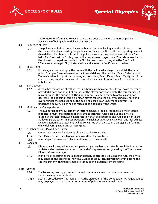



12.20-meter (40-ft) mark. However, at no time does a team lose its earned pallina advantage of being able to deliver the first ball.

- <span id="page-6-0"></span>4.4 Sequence of Play
	- $4.4.1$ The pallina is rolled or tossed by a member of the team having won the coin toss to start the game. The player tossing the pallina must deliver the first ball. The opposing team will then deliver their bocce balls until the point is taken or they have exhausted their four balls. This "nearest ball" rule governs the sequence of played balls. The side whose ball is the closest to the pallina is called the "in" ball and the opposing side the "out" ball. Whenever a team gets "in," it steps aside and allows the "out" team to deliver.
- <span id="page-6-1"></span>4.5 Initial Point
	- $4.5.1$ It is always incumbent upon the team with the pallina advantage to establish the initial point. Example: Team A tosses the pallina and delivers the first ball. Team B elects to hit Team A's ball out of position. In doing so, both balls, Team A's and Team B's, fly out of the court, leaving only the pallina in the court. It is incumbent upon Team A to reestablish the initial point.
- <span id="page-6-2"></span>4.6 Ball Delivery
	- $4.6.1$ A team has the option of rolling, tossing, bouncing, banking, etc., its ball down the court, provided it does not go out of bounds or the player does not violate the foul markers. A player also has the option of hitting out any ball in play in trying to obtain a point or decrease the opposing team's points. A player can grip the ball by placing his/her hand over or under the ball as long as the ball is released in an underhand delivery. An underhand delivery is defined as releasing the ball below the waist.
- <span id="page-6-3"></span>4.7 Modifications/Interpretations
	- $4.7.1$ The Event Manager/Tournament Director shall have the discretion to allow for certain modifications/interpretations of the current technical rules based upon a physical disability characteristic. Such interpretation shall be requested and ruled on prior to the athlete's participation in a competition and shall not give advantage over another athlete. Delivery action interpretations will be concerned with the action a limb(s) is performing while delivering a pointing or hitting shot.
- <span id="page-6-6"></span><span id="page-6-5"></span><span id="page-6-4"></span>Number of Balls Played by a Player 4.8
	- 4.8.1 One-Player Team—the player is allowed to play four balls.
	- 4.8.2 Two-Player Team — each player is allowed to play two balls.
	- 4.8.3 Four-Player Team — each player is allowed to play one ball.
- <span id="page-6-8"></span><span id="page-6-7"></span>4.9 Coaching
	- 4.9.1 Discussion with any athlete and/or partner by a coach or spectator is prohibited once the athlete and or partner steps onto the field of play area as designated by the Tournament Director/Event Manager.
	- $4.9.2$ If an official determines that a coach/ partner/ spectator is violating this rule, the official may sanction the offending individual. Sanctions may include: verbal warning, citing the coach/partner with unsportsmanlike conduct or expulsion from the game.
- <span id="page-6-9"></span>4.10 Scoring
	- 4.10.1 The following scoring procedure is most common in major tournaments: however, variations may be acceptable.
	- Scoring procedure for tournaments: At the discretion of the Competition Manager, games 4.10.2 may be played to reach the target number of points or to a time duration.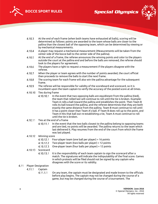



- 
- 4.10.3 At the end of each frame (when both teams have exhausted all balls), scoring will be determined as follows: points are awarded to the team whose balls are closer to the pallina than the closest ball of the opposing team, which can be determined by viewing or by mechanical measurements.
- 4.10.4 A player may request a mechanical measurement (Measurements will be taken from the center side of the bocce ball to the center side of the pallina).
- 4.10.5 At the end of a frame, the referee announces the winning points and color to the players outside the court at the pallina end and before the balls are removed, the referee should look to the players for agreement.
- 4.10.6 The players have a right to request a measurement if the players disagree with the referee.
- 4.10.7 When the player or team agrees with the number of points awarded, the court official then proceeds to remove the balls to start the next frame.
- 4.10.8 The scoring team for each frame will also win the pallina advantage for the subsequent frame.
- 4.10.9 The referee will be responsible for validity of the scoreboard and scorecard, so it is incumbent upon the team captain to verify the accuracy of the posted score at all times.
- 4.10.10 Ties during frame
	- 4.10.10.1 In the event that two opposing balls are equidistant from the pallina (tied), the team that rolled last will continue to roll until the tie is broken. Example: Team A rolls a ball toward the pallina and establishes the point. Then Team B rolls its ball toward the pallina, and the referee determines that they are both exactly the same distance from the pallina. Team B must continue to roll until it has a point closer than Team A's ball. If Team B does roll up to the point, and Team A hits that ball out re-establishing a tie, Team A must continue to roll until the tie is broken.
- 4.10.11 Ties at the end of a frame
	- 4.10.11.1 In the event that the two balls closest to the pallina belong to opposing teams and are tied, no points will be awarded. The pallina returns to the team which last delivered it. Play resumes from the end of the court from which the frame was last played.
- 4.10.12 Winning score
	- 4.10.12.1 Four-player team (one ball per player) = 16 points
	- 4.10.12.2 Two-player team (two balls per player) = 12 points
	- 4.10.12.3 One-player team (four balls per player) = 12 points
- 4.10.13 Scorecard
	- 4.10.13.1 It is the responsibility of each team captain to sign the scorecard after a match. The signatures will indicate the indisputability of the final score. Games in which protests will be filed should not be signed by any captain who disagrees with the score or its validity.

#### <span id="page-7-1"></span><span id="page-7-0"></span>4.11 Player Designation

- 4.11.1 Captain
	- 4.11.1.1 On any team, the captain must be designated and made known to the officials before play begins. The captain may not be changed during the course of a game, but may be changed during the course of a tournament. The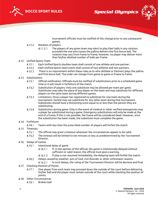





tournament officials must be notified of this change prior to any subsequent games.

- <span id="page-8-0"></span>4.11.2 Rotation of players
	- The players of any given team may elect to play their balls in any rotation,  $4.11.2.1$ provided the one who tosses the pallina delivers the first bocce ball. The rotation may vary from frame to frame; however, no player may deliver more than his/her allotted number of balls per frame.

## <span id="page-8-3"></span><span id="page-8-2"></span><span id="page-8-1"></span>Unified Sports Team

- 4.12.1 Each Unified Sports doubles team shall consist of one athlete and one partner.
- 4.12.2 Each Unified Sports team event shall consist of two athletes and two partners.
- 4.12.3 There is no requirement within these rules as to who (Athlete or Partner) plays the pallina and first bocce ball. The order can change from game to game or frame to frame.

## <span id="page-8-4"></span>4.13 Substitutions

- 4.13.1 Official notification: Officials must be notified of substitutions prior to a scheduled game time or it will result in forfeiture of the match.
- 4.13.2 Substitution of players: Only one substitute may be allowed per team per game. Substitutes may take the place of any player on the team and may substitute for different players on the same team during different games.
- Limitations: Once a player has registered to substitute for one team during the 4.13.3 tournament, he/she may not substitute for any other team during that tournament. Substitutes should have a Divisioning score equal to or less than the person they are substituting.
- Substitution during game: Only in the event of medical or other verified emergencies may 4.13.4 a player be substituted during a game. Emergency substitutions will only be made at the end of a frame; if this is not possible, the frame will be considered dead. However, once the substitution has been made, the substitute must complete the game.

#### <span id="page-8-5"></span>4.14 Forfeiture

- 4.14.1 Teams with less than the prescribed number of players will forfeit the match.
- <span id="page-8-6"></span>4.15 Timeouts
	- 4.15.1 The official may grant a timeout whenever the circumstances appear to be valid.
	- 4.15.2 The timeout will be limited to ten minutes or less as predetermined by the Tournament Director.
- <span id="page-8-7"></span>4.16 Delays of Games
	- 4.16.1 Intentional delay of game
		- If, in the opinion of the official, the game is intentionally delayed without 4.16.1.1 sufficient or valid reason, the official must give a warning.
		- If play is not resumed immediately, the delaying team will forfeit the match. 4.16.1.2
	- 4.16.2 Delays caused by weather, acts of God, civil disorder or other unforeseen reasons
		- In such delays, the ruling of the Tournament Director will be decisive and final. 4.16.2.1
- <span id="page-8-8"></span>4.17 Checking Position of Points
	- 4.17.1 One player from each team may proceed down the outside of the court before delivering his/her ball and the player must remain outside of the court while checking the position of points.
- <span id="page-8-10"></span><span id="page-8-9"></span>Other Circumstances
	- 4.18.1 Broken ball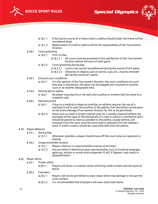





- 4.18.1.1 If during the course of a frame a ball or pallina should break, the frame will be considered dead.
- 4.18.1.2 Replacement of a ball or pallina will be the responsibility of the Tournament Director.
- <span id="page-9-0"></span>4.18.2 Court grooming

4.18.2.1 Prior to play

- 4.18.2.1.1 All courts must be groomed to the satisfaction of the Tournament Director before the start of each game.
- 4.18.2.2 Court grooming during play
	- 4.18.2.2.1 Courts may not be reconditioned during the course of the game.
		- 4.18.2.2.2 Obstacles or objects such as stones, cups, etc., may be removed during the course of a game.
- <span id="page-9-1"></span>4.18.3 Unusual court conditions
	- 4.18.3.1 If in the opinion of the Tournament Director, the court conditions are such that play is impractical, the game can be stopped and resumed on another court or at another designated time.
- <span id="page-9-2"></span>4.18.4 Moving ball or pallina
	- 4.18.4.1 No player may play his or her ball until a pallina or another ball has come to a complete rest.
- <span id="page-9-3"></span>4.18.5 Mechanical Aid
	- 4.18.5.1 If due to a medical or physical condition an athlete requires the use of a mechanical aid to spot the position of the pallina, then discretion can be given to the Event Manager/Tournament Director for this to be permitted.
	- 4.18.5.2 Items such as a bell or bright colored cone for a visually impaired athlete are examples of this type of mechanical aid. If a cone is used as a mechanical aid it should be placed as close as possible to the pallina, usually behind, and removed from the court once the bocce ball is released from the athlete's hand. If a bell is used it should be rung while held over the pallina.

## <span id="page-9-4"></span>4.19 Player Behavior

- 4.19.1 During Play
	- 4.19.1.1 Whenever possible, a player should move off the court when an opponent is playing.
- 4.19.2 Unsportsmanlike conduct
	- 4.19.2.1 Players shall act in a sportsmanlike manner at all times.
	- 4.19.2.2 Any act which is deemed as poor sportsmanship, such as insulting language, gestures, actions or words which engender ill will, if flagrant, may result in disqualification.

#### <span id="page-9-5"></span>4.20 Player Attire

- 4.20.1 Proper attire
	- 4.20.1.1 Players will dress in a manner which will bring credit to them and the sport of bocce.
- 4.20.2 Footwear
	- 4.20.2.1 Players will not be permitted to wear shoes which may damage or disrupt the court surface.
		- 4.20.2.2 It is recommended that all players will wear close-toed shoes.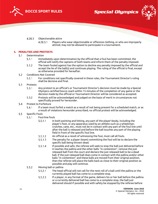





- 4.20.3 Objectionable attire
	- 4.20.3.1 Players who wear objectionable or offensive clothing, or who are improperly attired, may not be allowed to participate in a tournament.

## <span id="page-10-1"></span><span id="page-10-0"></span>**5. PENALTIES AND PROTESTS**

#### $5.1$ Determination

- $5.1.1$ Immediately upon determination by the official that a foul has been committed, the official will notify the captains of both teams and inform them of the penalty imposed.
- $5.1.2$ The team fouled against has the option to decline any penalty imposed by the official and accept the lie of the ball(s) and continues playing. The ruling of the official is final, except as otherwise provided for hereafter.
- <span id="page-10-2"></span> $5.2$ Conditions Not Covered
	- $5.2.1$ For conditions not specifically covered in these rules, the Tournament Director's ruling shall be decisive and final.

#### <span id="page-10-3"></span> $5.3$ Protests

- $5.3.1$ Any protest to an official's or Tournament Director's decision must be made by a Special Olympics certified bocce coach within 15 minutes of the completion of any game or the decision made by the official or Tournament Director will be considered as accepted.
- Protests will be acknowledged and judged on the basis of merit in circumstances not  $5.3.2$ specifically proved for hereunder.
- <span id="page-10-4"></span> $5.4$ Protest to Forfeiture
	- $5.4.1$ If a team must forfeit a match as a result of not being present for a scheduled match, or as a result of violations hereunder prescribed, no official protest will be acknowledged.

#### <span id="page-10-5"></span> $5.5$ Specific Fouls

- $5.5.1$ Foul-line fouls
	- $5.5.1.1$ In both pointing and hitting, any part of the player'sbody, including the player's foot, or any apparatus used by an athlete such as a wheelchair, crutches, cane, etc., must not be in contact with any part of the foul line until after the ball is released and before the ball touches any part of the playing field in front of the specific foul line.
	- $5.5.1.2$ An official as a result of witnessing the foul, must call all fouls.
	- $5.5.1.3$ The penalty for a player (team) committing the foul will be to declare the specific ball being thrown dead.
	- 5.5.1.4 If possible and safe, the referee will seek to stop the ball just delivered before it reaches the pallina and the other balls "in contention", remove the just released ball from the court and declare the just released ball to be a dead ball. If the just released ball does come in contact with the pallina and/or other balls "in contention" and these balls are moved from their original position, then the referee will place the balls back as close to their original position as possible and play will continue.
- $5.5.2$ Moving ball or pallina
	- The head official will not call for the next roll of a ball until the pallina or the  $5.5.2.1$ currently played ball has come to a complete stop.
	- $5.5.2.2$ If a player, in any format of the game, delivers his or her ball before the pallina or a currently delivered ball has come to a complete stop, the ball just delivered should if possible and with safety be stopped by the referee before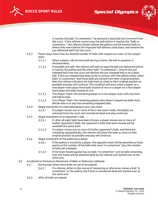**BOCCE SPORT RULES**





it reaches the balls "in contention," be declared a dead ball and removed from the court. If the referee cannot stop the ball before it reaches the "balls in contention, " the referee should replace the pallina and the nearest balls to where they were before the improper ball delivery took place, and remove the just delivered ball from the court.

- $5.5.3$ Player plays more than his allotted number of balls with respect to a two- or four-player team
	- $5.5.3.1$ When a player rolls an extra ball during a frame, the ball in question is declared dead.
	- 5.5.3.2 If possible and safe, the referee will seek to stop the ball just delivered before it reaches the pallina and the other balls "in contention", remove the just released ball from the court and declare the just released ball to be a dead ball. If the just released ball does come in contact with the pallina and/or other balls "in contention" and these balls are moved from their original position, then the referee will place the balls back as close to their original position as possible and play will continue. This condition will exist when a player on a two-player team plays three balls instead of two or a player on a four-player team plays two balls instead of one.
	- $5.5.3.3$ Two-Player Team: the remaining player on a two-player team will only have one ball to play.
	- 5.5.3.4 Four-Player Team: the remaining players who haven't played any balls must decide who is to play the remaining unplayed balls.
- $5.5.4$ Illegal movement of a ball belonging to your own team
	- 5.5.4.1 If a player moves one or more of his or her team's balls, the ball(s) are removed from the court and considered dead and play continues.
- $5.5.5$ Illegal movement of an opponent's ball
	- $5.5.5.1$ If, after all eight balls have been thrown, a player moves one or more of his/her opponent's balls, the opponent's balls that were moved will be awarded one point each.
	- $5.5.5.2$ If a player moves one or more of his/her opponent's balls, and there are remaining unplayed balls, the referee will place the balls as close to their original position as possible and play will continue.
- 5.5.6 Illegal movement of the pallina by a player
	- 5.5.6.1 If the pallina is moved by a player, the opposite team will be awarded as many points as the number of live balls that were "in contention" plus the number of balls yet unplayed.
	- 5.5.6.2 If the team fouled against has no balls "in contention" and no balls remaining, then the frame will be declared dead by the referee and started over at the same end.
- <span id="page-11-0"></span>5.6 Accidental or Premature Movement of Balls or Pallina by a Referee
	- $5.6.1$ During play (when more balls are yet to be played)
		- $5.6.1.1$ If a referee, either in the course of measuring or otherwise, moves a ball "in contention" or the pallina, the frame is considered dead and started over at the same end.
		- $5.6.2$ After all balls are played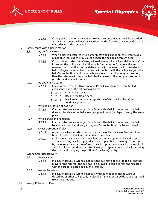





- $5.6.2.1$ If the point or points were obvious to the referee, the points will be awarded. All uncertain points will not be awarded and the frame is considered dead and started over at the same end.
- <span id="page-12-0"></span> $5.7$ Interference With a Ball in Motion
	- $5.7.1$ By one's own team
		- $5.7.1.1$ When a player interferes with his/her team's ball in motion, the referee, as a result of witnessing the foul, must declare the ball being thrown dead.
		- $5.7.1.2$ If possible and safe, the referee, will seek to stop the ball just delivered before it reaches the pallina and the other balls "in contention", remove the just released ball from the court and declare the just released ball to be a dead ball. If the just released ball does come in contact with the pallina and/or other balls "in contention" and these balls are moved from their original position, then the referee will place the balls back as close to their original position as possible and play will continue.
	- $5.7.2$ By opponent's team
		- $5.7.2.1$ If a player interferes with an opponent's ball in motion, the team fouled against has one of the following options:
			- $5.7.2.1.1$ Play the ball over.
			- $5.7.2.1.2$ Declare the frame dead.
			- $5.7.2.1.3$ Decline the penalty, accept the lie of the touched ball(s) and continues playing.
	- $5.7.3$ With no disruption of position
		- If a spectator, animal or object interferes with a ball in motion and that ball  $5.7.3.1$ does not touch another ball already in play, it must be played over by the same player.
	- $5.7.4$ With disruption of position
		- $5.7.4.1$ If a spectator, animal or object interferes with a ball in motion and that ball touches another ball already in play and "in contention" the frame is dead.
	- $5.7.5$ Other disruption of play
		- $5.7.5.1$ Any action which interferes with the position of the pallina or the ball of each team closest to the pallina renders the frame dead.
		- $5.7.5.2$ In the event balls other than the pallina or the two opposing balls closest to it are moved, they may be replaced as close as possible to the original position by the two captains or the referee. Such disruptive action may be the result of a dead ball from another court, foreign objects, spectators or animals entering the court and changing the position of the ball(s) in play.
- <span id="page-12-1"></span>5.8 Wrong Color Ball Delivery
	- 5.8.1 Replaceable
		- $5.8.1.1$ If a player delivers a wrong color ball, the ball may not be stopped by another player or the referee. The ball must be allowed to come to rest and replaced with the proper colored ball by the referee.

#### $5.8.2$ Not replaceable

- If a player delivers a wrong color ball which cannot be replaced without  $5.8.2.1$ disturbing another ball already in play the frame is declared dead and replayed from the same end.
- <span id="page-12-2"></span>5.9 Wrong Rotation of Play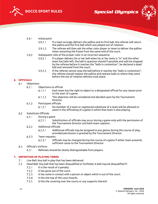





- $5.9.1$ Initial point
	- $5.9.1.1$ If a team wrongly delivers the pallina and its first ball, the referee will return the pallina and the first ball which was played out of rotation.
	- $5.9.1.2$ The referee will then ask the other color player or team to deliver the pallina when restarting the frame from the same end of the court.
- $5.9.2$ Subsequent rolls of the proper color in an incorrect sequence
	- $5.9.2.1$ If a player delivers his or her ball when his or her team is "in" and the other team has balls left, the ball in question should if possible and safe be stopped by the referee before it reaches the "balls in contention", be declared a dead ball and removed from the court.
	- $5.9.2.2$ If the referee cannot stop the ball before it reaches the "balls in contention", the referee should replace the pallina and nearest balls to where they were before the out of rotation delivery took place.

## <span id="page-13-1"></span><span id="page-13-0"></span>**6. OFFICIALS**

- $6.1$ **Objections** 
	- Objections to official  $6.1.1$ 
		- $6.1.1.1$ Each team has the right to object to a designated official for any reason prior to the start of a game.
		- This objection will be considered and decided upon by the Tournament  $6.1.1.2$ Director.
	- $6.1.2$ Participant officials
		- $6.1.2.1$ No member of a team or registered substitute of a team will be allowed to assist in the officiating of a game in which that team is also playing.
- <span id="page-13-2"></span> $6.2$ Substitute Officials
	- $6.2.1$ During a game
		- $6.2.1.1$ Substitutions of officials may occur during a game only with the permission of the Tournament Director and both team captains.
	- $6.2.2$ Additional officials
		- $6.2.2.1$ Additional officials may be assigned to any games during the course of play, provided permission is granted by the Tournament Director.
	- $6.2.3$ Team requests
		- $6.2.3.1$ Officials may be changed during the course of a game if either team presents sufficient cause to the Tournament Director.
- <span id="page-13-3"></span> $6.3$ Official's Uniform
	- Referees should be clearly distinguishable from players.  $6.3.1$

## <span id="page-13-5"></span><span id="page-13-4"></span>**7. DEFINITION OF PLAYING TERMS**

- $7.1$ Live Ball: Any ball in play that has been delivered.
- <span id="page-13-6"></span> $7.2$ Dead Ball: Any ball that has been disqualified or forfeited. A ball may be disqualified if:
	- $7.2.1$ It is the result of a penalty.
	- $7.2.2$ It has gone out of the court.
	- $7.2.3$ It has come in contact with a person or object which is out of the court.
	- It hits the top of the court boards.  $7.2.4$
	- $7.2.5$ It hits the covering over the courts or any supports thereof.